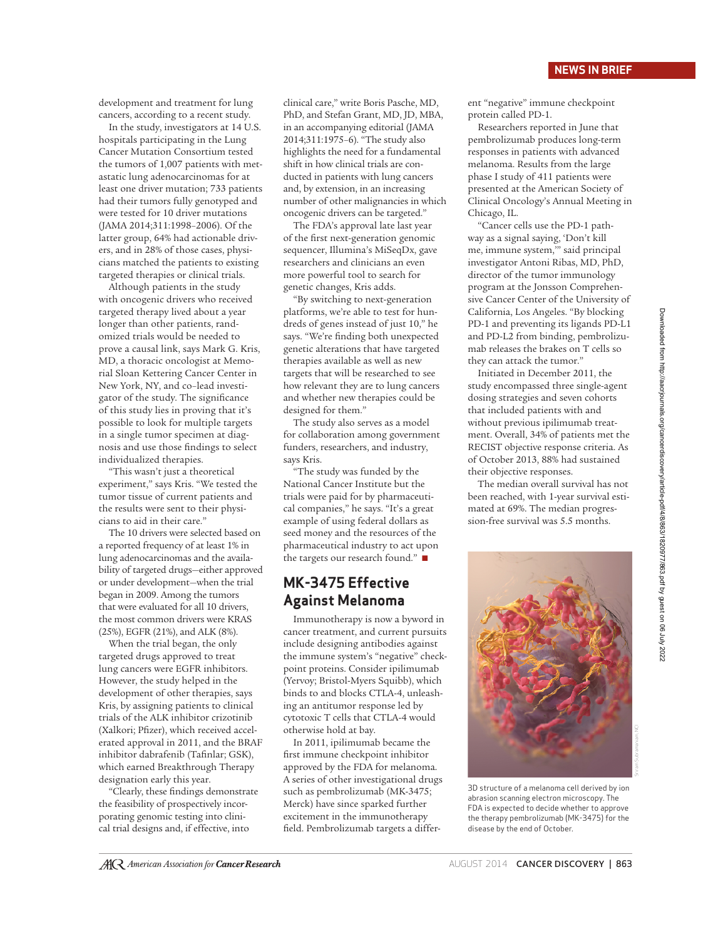development and treatment for lung cancers, according to a recent study.

In the study, investigators at 14 U.S. hospitals participating in the Lung Cancer Mutation Consortium tested the tumors of 1,007 patients with metastatic lung adenocarcinomas for at least one driver mutation; 733 patients had their tumors fully genotyped and were tested for 10 driver mutations (JAMA 2014;311:1998–2006). Of the latter group, 64% had actionable drivers, and in 28% of those cases, physicians matched the patients to existing targeted therapies or clinical trials.

Although patients in the study with oncogenic drivers who received targeted therapy lived about a year longer than other patients, randomized trials would be needed to prove a causal link, says Mark G. Kris, MD, a thoracic oncologist at Memorial Sloan Kettering Cancer Center in New York, NY, and co–lead investigator of the study. The significance of this study lies in proving that it's possible to look for multiple targets in a single tumor specimen at diagnosis and use those findings to select individualized therapies.

"This wasn't just a theoretical experiment," says Kris. "We tested the tumor tissue of current patients and the results were sent to their physicians to aid in their care."

The 10 drivers were selected based on a reported frequency of at least 1% in lung adenocarcinomas and the availability of targeted drugs—either approved or under development—when the trial began in 2009. Among the tumors that were evaluated for all 10 drivers, the most common drivers were KRAS (25%), EGFR (21%), and ALK (8%).

When the trial began, the only targeted drugs approved to treat lung cancers were EGFR inhibitors. However, the study helped in the development of other therapies, says Kris, by assigning patients to clinical trials of the ALK inhibitor crizotinib (Xalkori; Pfizer), which received accelerated approval in 2011, and the BRAF inhibitor dabrafenib (Tafinlar; GSK), which earned Breakthrough Therapy designation early this year.

"Clearly, these findings demonstrate the feasibility of prospectively incorporating genomic testing into clinical trial designs and, if effective, into

clinical care," write Boris Pasche, MD, PhD, and Stefan Grant, MD, JD, MBA, in an accompanying editorial (JAMA 2014;311:1975–6). "The study also highlights the need for a fundamental shift in how clinical trials are conducted in patients with lung cancers and, by extension, in an increasing number of other malignancies in which oncogenic drivers can be targeted."

The FDA's approval late last year of the first next-generation genomic sequencer, Illumina's MiSeqDx, gave researchers and clinicians an even more powerful tool to search for genetic changes, Kris adds.

"By switching to next-generation platforms, we're able to test for hundreds of genes instead of just 10," he says. "We're finding both unexpected genetic alterations that have targeted therapies available as well as new targets that will be researched to see how relevant they are to lung cancers and whether new therapies could be designed for them."

The study also serves as a model for collaboration among government funders, researchers, and industry, says Kris.

"The study was funded by the National Cancer Institute but the trials were paid for by pharmaceutical companies," he says. "It's a great example of using federal dollars as seed money and the resources of the pharmaceutical industry to act upon the targets our research found." ■

## **MK-3475 Effective Against Melanoma**

Immunotherapy is now a byword in cancer treatment, and current pursuits include designing antibodies against the immune system's "negative" checkpoint proteins. Consider ipilimumab (Yervoy; Bristol-Myers Squibb), which binds to and blocks CTLA-4, unleashing an antitumor response led by cytotoxic T cells that CTLA-4 would otherwise hold at bay.

In 2011, ipilimumab became the first immune checkpoint inhibitor approved by the FDA for melanoma. A series of other investigational drugs such as pembrolizumab (MK-3475; Merck) have since sparked further excitement in the immunotherapy field. Pembrolizumab targets a different "negative" immune checkpoint protein called PD-1.

Researchers reported in June that pembrolizumab produces long-term responses in patients with advanced melanoma. Results from the large phase I study of 411 patients were presented at the American Society of Clinical Oncology's Annual Meeting in Chicago, IL.

"Cancer cells use the PD-1 pathway as a signal saying, 'Don't kill me, immune system,'" said principal investigator Antoni Ribas, MD, PhD, director of the tumor immunology program at the Jonsson Comprehensive Cancer Center of the University of California, Los Angeles. "By blocking PD-1 and preventing its ligands PD-L1 and PD-L2 from binding, pembrolizumab releases the brakes on T cells so they can attack the tumor."

Initiated in December 2011, the study encompassed three single-agent dosing strategies and seven cohorts that included patients with and without previous ipilimumab treatment. Overall, 34% of patients met the RECIST objective response criteria. As of October 2013, 88% had sustained their objective responses.

The median overall survival has not been reached, with 1-year survival estimated at 69%. The median progression-free survival was 5.5 months.



3D structure of a melanoma cell derived by ion abrasion scanning electron microscopy. The FDA is expected to decide whether to approve the therapy pembrolizumab (MK-3475) for the disease by the end of October.